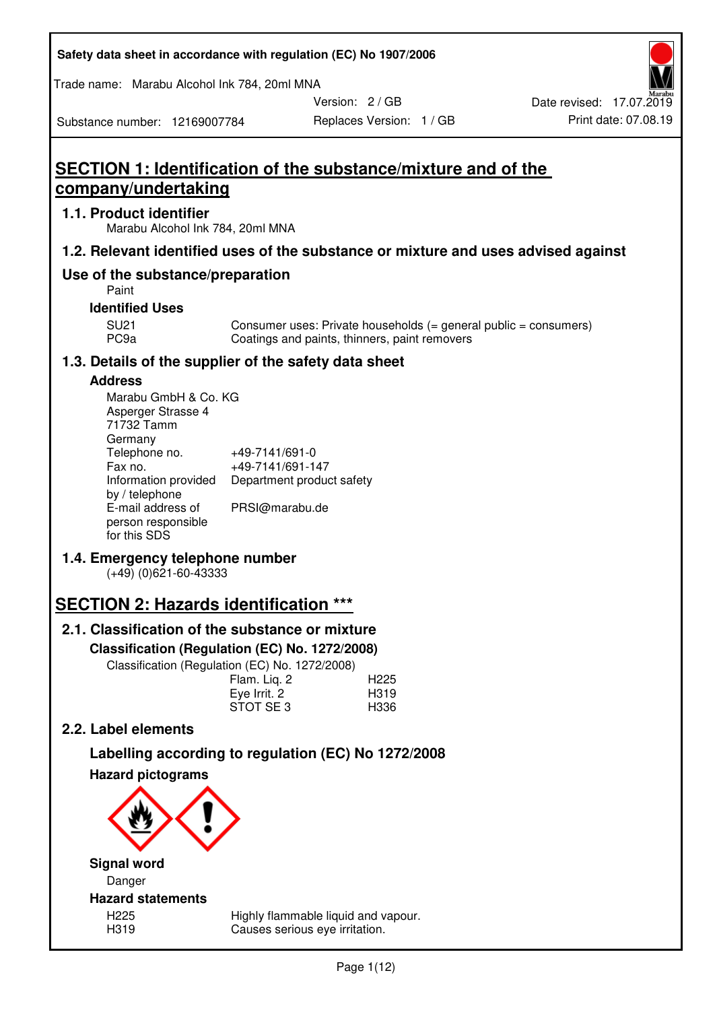| Safety data sheet in accordance with regulation (EC) No 1907/2006 |  |
|-------------------------------------------------------------------|--|
|-------------------------------------------------------------------|--|

Trade name: Marabu Alcohol Ink 784, 20ml MNA

Version: 2 / GB

Substance number: 12169007784

# **SECTION 1: Identification of the substance/mixture and of the company/undertaking**

# **1.1. Product identifier**

Marabu Alcohol Ink 784, 20ml MNA

# **1.2. Relevant identified uses of the substance or mixture and uses advised against**

# **Use of the substance/preparation**

Paint

## **Identified Uses**

SU21 Consumer uses: Private households (= general public = consumers)<br>PC9a Coatings and paints, thinners, paint removers Coatings and paints, thinners, paint removers

# **1.3. Details of the supplier of the safety data sheet**

# **Address**

| Marabu GmbH & Co. KG |                           |
|----------------------|---------------------------|
| Asperger Strasse 4   |                           |
| 71732 Tamm           |                           |
| Germany              |                           |
| Telephone no.        | +49-7141/691-0            |
| Fax no.              | +49-7141/691-147          |
| Information provided | Department product safety |
| by / telephone       |                           |
| E-mail address of    | PRSI@marabu.de            |
| person responsible   |                           |
| for this SDS         |                           |

# **1.4. Emergency telephone number**

(+49) (0)621-60-43333

# **SECTION 2: Hazards identification \*\*\***

# **2.1. Classification of the substance or mixture**

**Classification (Regulation (EC) No. 1272/2008)** 

Classification (Regulation (EC) No. 1272/2008)

|              | . |                  |
|--------------|---|------------------|
| Flam. Liq. 2 |   | H <sub>225</sub> |
| Eye Irrit. 2 |   | H319             |
| STOT SE3     |   | H336             |
|              |   |                  |

# **2.2. Label elements**

# **Labelling according to regulation (EC) No 1272/2008**



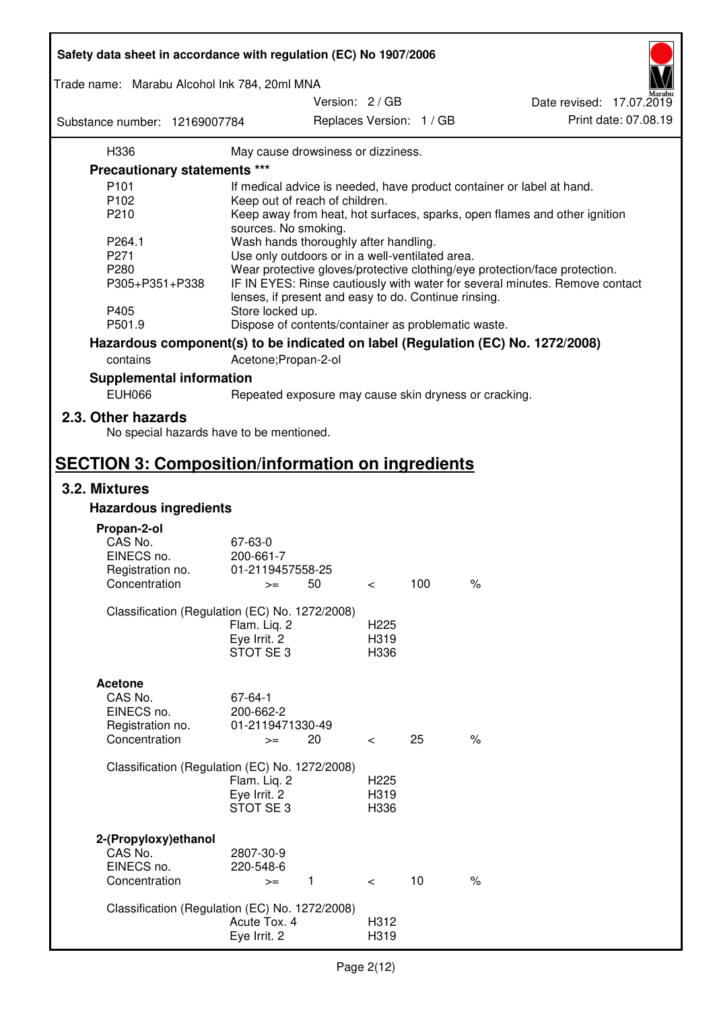| Safety data sheet in accordance with regulation (EC) No 1907/2006 |                                                      |                 |                  |                          |                                                                                 |
|-------------------------------------------------------------------|------------------------------------------------------|-----------------|------------------|--------------------------|---------------------------------------------------------------------------------|
| Trade name: Marabu Alcohol Ink 784, 20ml MNA                      |                                                      |                 |                  |                          |                                                                                 |
|                                                                   |                                                      | Version: 2 / GB |                  |                          | Date revised: 17.07.2019                                                        |
| Substance number: 12169007784                                     |                                                      |                 |                  | Replaces Version: 1 / GB | Print date: 07.08.19                                                            |
| H336                                                              | May cause drowsiness or dizziness.                   |                 |                  |                          |                                                                                 |
| Precautionary statements ***                                      |                                                      |                 |                  |                          |                                                                                 |
| P <sub>101</sub>                                                  |                                                      |                 |                  |                          | If medical advice is needed, have product container or label at hand.           |
| P102                                                              | Keep out of reach of children.                       |                 |                  |                          |                                                                                 |
| P210                                                              |                                                      |                 |                  |                          | Keep away from heat, hot surfaces, sparks, open flames and other ignition       |
|                                                                   | sources. No smoking.                                 |                 |                  |                          |                                                                                 |
| P264.1                                                            | Wash hands thoroughly after handling.                |                 |                  |                          |                                                                                 |
| P271                                                              | Use only outdoors or in a well-ventilated area.      |                 |                  |                          |                                                                                 |
| P280                                                              |                                                      |                 |                  |                          | Wear protective gloves/protective clothing/eye protection/face protection.      |
| P305+P351+P338                                                    | lenses, if present and easy to do. Continue rinsing. |                 |                  |                          | IF IN EYES: Rinse cautiously with water for several minutes. Remove contact     |
| P405                                                              | Store locked up.                                     |                 |                  |                          |                                                                                 |
| P501.9                                                            | Dispose of contents/container as problematic waste.  |                 |                  |                          |                                                                                 |
|                                                                   |                                                      |                 |                  |                          | Hazardous component(s) to be indicated on label (Regulation (EC) No. 1272/2008) |
| contains                                                          | Acetone; Propan-2-ol                                 |                 |                  |                          |                                                                                 |
| <b>Supplemental information</b>                                   |                                                      |                 |                  |                          |                                                                                 |
| <b>EUH066</b>                                                     |                                                      |                 |                  |                          | Repeated exposure may cause skin dryness or cracking.                           |
| 2.3. Other hazards<br>No special hazards have to be mentioned.    |                                                      |                 |                  |                          |                                                                                 |
| <b>SECTION 3: Composition/information on ingredients</b>          |                                                      |                 |                  |                          |                                                                                 |
| 3.2. Mixtures                                                     |                                                      |                 |                  |                          |                                                                                 |
| <b>Hazardous ingredients</b>                                      |                                                      |                 |                  |                          |                                                                                 |
|                                                                   |                                                      |                 |                  |                          |                                                                                 |
| Propan-2-ol                                                       |                                                      |                 |                  |                          |                                                                                 |
| CAS No.                                                           | 67-63-0                                              |                 |                  |                          |                                                                                 |
| EINECS no.<br>Registration no.                                    | 200-661-7<br>01-2119457558-25                        |                 |                  |                          |                                                                                 |
| Concentration                                                     | $>=$                                                 | 50              | $\,<\,$          | 100                      | $\%$                                                                            |
|                                                                   |                                                      |                 |                  |                          |                                                                                 |
| Classification (Regulation (EC) No. 1272/2008)                    |                                                      |                 |                  |                          |                                                                                 |
|                                                                   | Flam. Liq. 2                                         |                 | H <sub>225</sub> |                          |                                                                                 |
|                                                                   | Eye Irrit. 2                                         |                 | H319             |                          |                                                                                 |
|                                                                   | STOT SE <sub>3</sub>                                 |                 | H336             |                          |                                                                                 |
|                                                                   |                                                      |                 |                  |                          |                                                                                 |
| <b>Acetone</b>                                                    |                                                      |                 |                  |                          |                                                                                 |
| CAS No.                                                           | 67-64-1                                              |                 |                  |                          |                                                                                 |
| EINECS no.                                                        | 200-662-2                                            |                 |                  |                          |                                                                                 |
| Registration no.                                                  | 01-2119471330-49                                     |                 |                  |                          |                                                                                 |
| Concentration                                                     | $>=$                                                 | 20              | $\prec$          | 25                       | $\%$                                                                            |
|                                                                   |                                                      |                 |                  |                          |                                                                                 |
| Classification (Regulation (EC) No. 1272/2008)                    |                                                      |                 |                  |                          |                                                                                 |
|                                                                   | Flam. Liq. 2                                         |                 | H <sub>225</sub> |                          |                                                                                 |
|                                                                   | Eye Irrit. 2                                         |                 | H319             |                          |                                                                                 |
|                                                                   | STOT SE3                                             |                 | H336             |                          |                                                                                 |
|                                                                   |                                                      |                 |                  |                          |                                                                                 |
| 2-(Propyloxy) ethanol                                             |                                                      |                 |                  |                          |                                                                                 |
| CAS No.                                                           | 2807-30-9                                            |                 |                  |                          |                                                                                 |
| EINECS no.                                                        | 220-548-6                                            |                 |                  |                          |                                                                                 |
| Concentration                                                     | $>=$                                                 | $\mathbf{1}$    | $\prec$          | 10                       | $\%$                                                                            |
|                                                                   |                                                      |                 |                  |                          |                                                                                 |
| Classification (Regulation (EC) No. 1272/2008)                    | Acute Tox. 4                                         |                 | H312             |                          |                                                                                 |
|                                                                   | Eye Irrit. 2                                         |                 | H319             |                          |                                                                                 |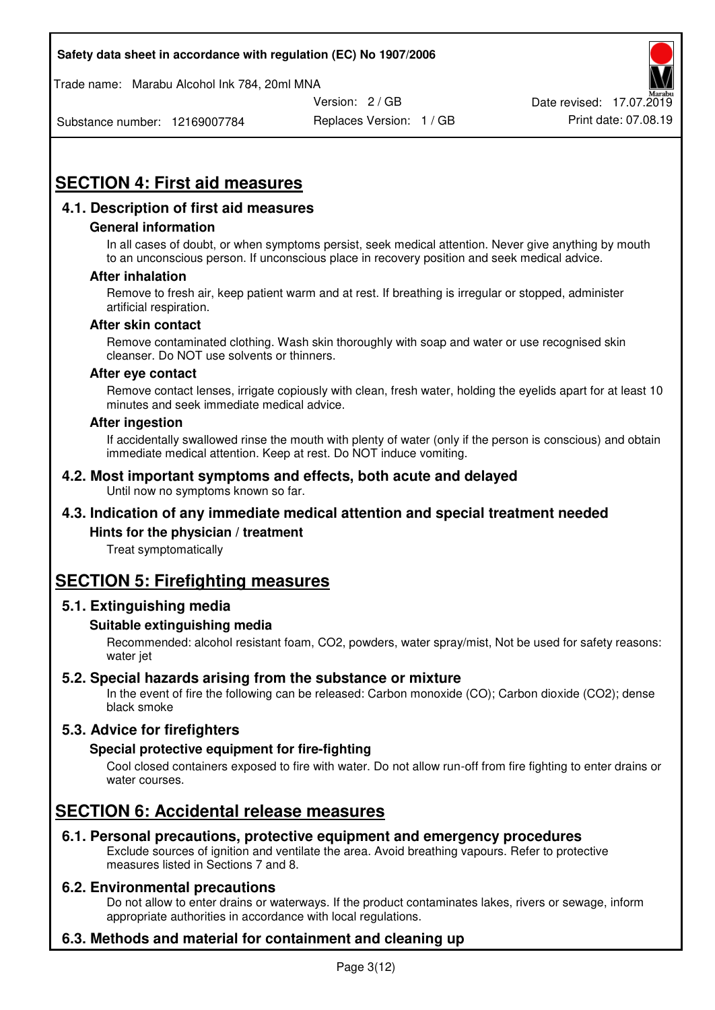Trade name: Marabu Alcohol Ink 784, 20ml MNA



Substance number: 12169007784

Replaces Version: 1 / GB Print date: 07.08.19

# **SECTION 4: First aid measures**

# **4.1. Description of first aid measures**

## **General information**

In all cases of doubt, or when symptoms persist, seek medical attention. Never give anything by mouth to an unconscious person. If unconscious place in recovery position and seek medical advice.

## **After inhalation**

Remove to fresh air, keep patient warm and at rest. If breathing is irregular or stopped, administer artificial respiration.

## **After skin contact**

Remove contaminated clothing. Wash skin thoroughly with soap and water or use recognised skin cleanser. Do NOT use solvents or thinners.

#### **After eye contact**

Remove contact lenses, irrigate copiously with clean, fresh water, holding the eyelids apart for at least 10 minutes and seek immediate medical advice.

#### **After ingestion**

If accidentally swallowed rinse the mouth with plenty of water (only if the person is conscious) and obtain immediate medical attention. Keep at rest. Do NOT induce vomiting.

#### **4.2. Most important symptoms and effects, both acute and delayed**  Until now no symptoms known so far.

# **4.3. Indication of any immediate medical attention and special treatment needed**

## **Hints for the physician / treatment**

Treat symptomatically

# **SECTION 5: Firefighting measures**

## **5.1. Extinguishing media**

## **Suitable extinguishing media**

Recommended: alcohol resistant foam, CO2, powders, water spray/mist, Not be used for safety reasons: water jet

# **5.2. Special hazards arising from the substance or mixture**

In the event of fire the following can be released: Carbon monoxide (CO); Carbon dioxide (CO2); dense black smoke

# **5.3. Advice for firefighters**

## **Special protective equipment for fire-fighting**

Cool closed containers exposed to fire with water. Do not allow run-off from fire fighting to enter drains or water courses.

# **SECTION 6: Accidental release measures**

# **6.1. Personal precautions, protective equipment and emergency procedures**

Exclude sources of ignition and ventilate the area. Avoid breathing vapours. Refer to protective measures listed in Sections 7 and 8.

## **6.2. Environmental precautions**

Do not allow to enter drains or waterways. If the product contaminates lakes, rivers or sewage, inform appropriate authorities in accordance with local regulations.

# **6.3. Methods and material for containment and cleaning up**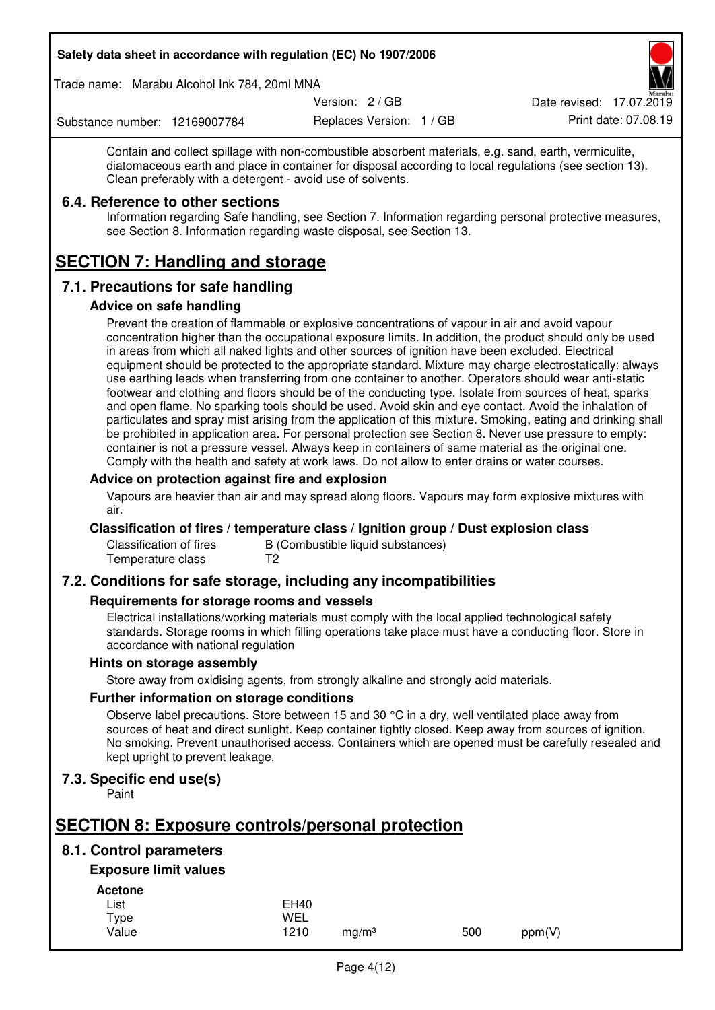Trade name: Marabu Alcohol Ink 784, 20ml MNA

Version: 2 / GB

Replaces Version: 1 / GB Print date: 07.08.19 Date revised: 17.07.2019

Substance number: 12169007784

Contain and collect spillage with non-combustible absorbent materials, e.g. sand, earth, vermiculite, diatomaceous earth and place in container for disposal according to local regulations (see section 13). Clean preferably with a detergent - avoid use of solvents.

## **6.4. Reference to other sections**

Information regarding Safe handling, see Section 7. Information regarding personal protective measures, see Section 8. Information regarding waste disposal, see Section 13.

# **SECTION 7: Handling and storage**

# **7.1. Precautions for safe handling**

## **Advice on safe handling**

Prevent the creation of flammable or explosive concentrations of vapour in air and avoid vapour concentration higher than the occupational exposure limits. In addition, the product should only be used in areas from which all naked lights and other sources of ignition have been excluded. Electrical equipment should be protected to the appropriate standard. Mixture may charge electrostatically: always use earthing leads when transferring from one container to another. Operators should wear anti-static footwear and clothing and floors should be of the conducting type. Isolate from sources of heat, sparks and open flame. No sparking tools should be used. Avoid skin and eye contact. Avoid the inhalation of particulates and spray mist arising from the application of this mixture. Smoking, eating and drinking shall be prohibited in application area. For personal protection see Section 8. Never use pressure to empty: container is not a pressure vessel. Always keep in containers of same material as the original one. Comply with the health and safety at work laws. Do not allow to enter drains or water courses.

## **Advice on protection against fire and explosion**

Vapours are heavier than air and may spread along floors. Vapours may form explosive mixtures with air.

## **Classification of fires / temperature class / Ignition group / Dust explosion class**

Classification of fires B (Combustible liquid substances)<br>Temperature class T2 Temperature class

# **7.2. Conditions for safe storage, including any incompatibilities**

## **Requirements for storage rooms and vessels**

Electrical installations/working materials must comply with the local applied technological safety standards. Storage rooms in which filling operations take place must have a conducting floor. Store in accordance with national regulation

## **Hints on storage assembly**

Store away from oxidising agents, from strongly alkaline and strongly acid materials.

## **Further information on storage conditions**

Observe label precautions. Store between 15 and 30 °C in a dry, well ventilated place away from sources of heat and direct sunlight. Keep container tightly closed. Keep away from sources of ignition. No smoking. Prevent unauthorised access. Containers which are opened must be carefully resealed and kept upright to prevent leakage.

# **7.3. Specific end use(s)**

Paint

# **SECTION 8: Exposure controls/personal protection**

# **8.1. Control parameters**

# **Exposure limit values**

**Acetone** 

| List  | <b>EH40</b> |                   |     |        |
|-------|-------------|-------------------|-----|--------|
| Type  | WEL         |                   |     |        |
| Value | 1210        | ma/m <sup>3</sup> | 500 | ppm(V) |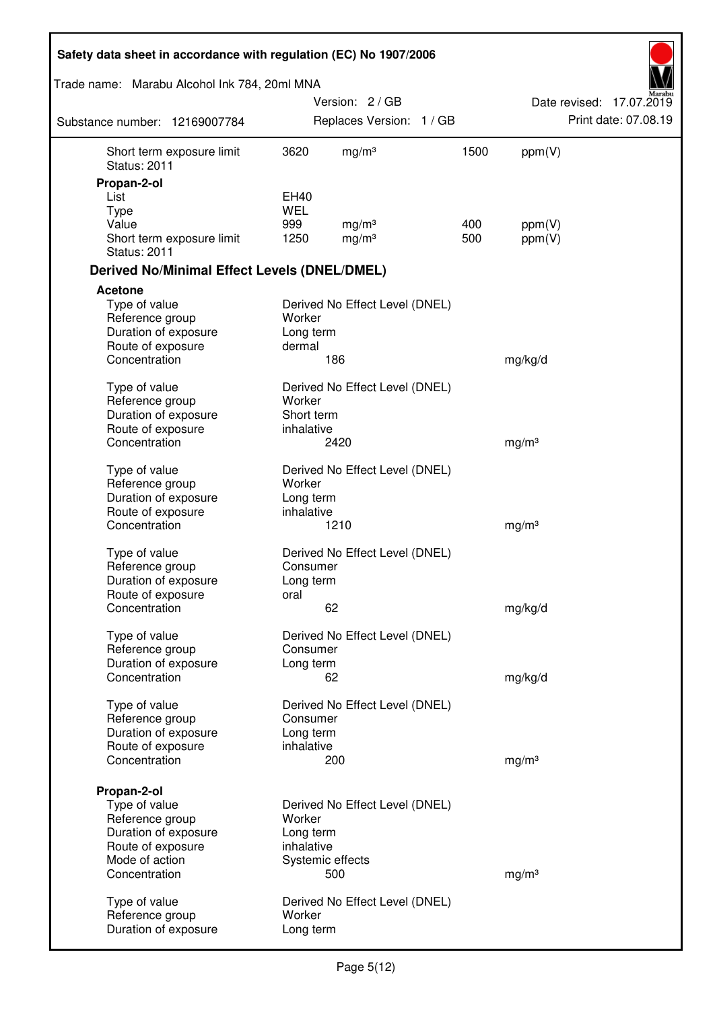| Safety data sheet in accordance with regulation (EC) No 1907/2006 |                         |                                        |            |                   |                          |
|-------------------------------------------------------------------|-------------------------|----------------------------------------|------------|-------------------|--------------------------|
| Trade name: Marabu Alcohol Ink 784, 20ml MNA                      |                         |                                        |            |                   | Aarabu                   |
|                                                                   |                         | Version: 2 / GB                        |            |                   | Date revised: 17.07.2019 |
| Substance number: 12169007784                                     |                         | Replaces Version: 1 / GB               |            |                   | Print date: 07.08.19     |
| Short term exposure limit<br><b>Status: 2011</b>                  | 3620                    | mg/m <sup>3</sup>                      | 1500       | ppm(V)            |                          |
| Propan-2-ol                                                       |                         |                                        |            |                   |                          |
| List                                                              | <b>EH40</b>             |                                        |            |                   |                          |
| <b>Type</b>                                                       | <b>WEL</b>              |                                        |            |                   |                          |
| Value<br>Short term exposure limit<br><b>Status: 2011</b>         | 999<br>1250             | mg/m <sup>3</sup><br>mg/m <sup>3</sup> | 400<br>500 | ppm(V)<br>ppm(V)  |                          |
| <b>Derived No/Minimal Effect Levels (DNEL/DMEL)</b>               |                         |                                        |            |                   |                          |
| <b>Acetone</b>                                                    |                         |                                        |            |                   |                          |
| Type of value<br>Reference group<br>Duration of exposure          | Worker<br>Long term     | Derived No Effect Level (DNEL)         |            |                   |                          |
| Route of exposure                                                 | dermal                  |                                        |            |                   |                          |
| Concentration                                                     |                         | 186                                    |            | mg/kg/d           |                          |
| Type of value                                                     |                         | Derived No Effect Level (DNEL)         |            |                   |                          |
| Reference group                                                   | Worker<br>Short term    |                                        |            |                   |                          |
| Duration of exposure<br>Route of exposure                         | inhalative              |                                        |            |                   |                          |
| Concentration                                                     |                         | 2420                                   |            | mg/m <sup>3</sup> |                          |
| Type of value                                                     |                         | Derived No Effect Level (DNEL)         |            |                   |                          |
| Reference group                                                   | Worker                  |                                        |            |                   |                          |
| Duration of exposure<br>Route of exposure                         | Long term<br>inhalative |                                        |            |                   |                          |
| Concentration                                                     |                         | 1210                                   |            | mg/m <sup>3</sup> |                          |
| Type of value                                                     |                         | Derived No Effect Level (DNEL)         |            |                   |                          |
| Reference group                                                   | Consumer                |                                        |            |                   |                          |
| Duration of exposure<br>Route of exposure                         | Long term<br>oral       |                                        |            |                   |                          |
| Concentration                                                     |                         | 62                                     |            | mg/kg/d           |                          |
| Type of value                                                     |                         | Derived No Effect Level (DNEL)         |            |                   |                          |
| Reference group                                                   | Consumer                |                                        |            |                   |                          |
| Duration of exposure                                              | Long term               |                                        |            |                   |                          |
| Concentration                                                     |                         | 62                                     |            | mg/kg/d           |                          |
| Type of value                                                     |                         | Derived No Effect Level (DNEL)         |            |                   |                          |
| Reference group                                                   | Consumer                |                                        |            |                   |                          |
| Duration of exposure<br>Route of exposure                         | Long term<br>inhalative |                                        |            |                   |                          |
| Concentration                                                     |                         | 200                                    |            | mg/m <sup>3</sup> |                          |
|                                                                   |                         |                                        |            |                   |                          |
| Propan-2-ol<br>Type of value                                      |                         | Derived No Effect Level (DNEL)         |            |                   |                          |
| Reference group                                                   | Worker                  |                                        |            |                   |                          |
| Duration of exposure                                              | Long term               |                                        |            |                   |                          |
| Route of exposure                                                 | inhalative              |                                        |            |                   |                          |
| Mode of action                                                    |                         | Systemic effects                       |            |                   |                          |
| Concentration                                                     |                         | 500                                    |            | mg/m <sup>3</sup> |                          |
| Type of value                                                     |                         | Derived No Effect Level (DNEL)         |            |                   |                          |
| Reference group                                                   | Worker                  |                                        |            |                   |                          |
| Duration of exposure                                              | Long term               |                                        |            |                   |                          |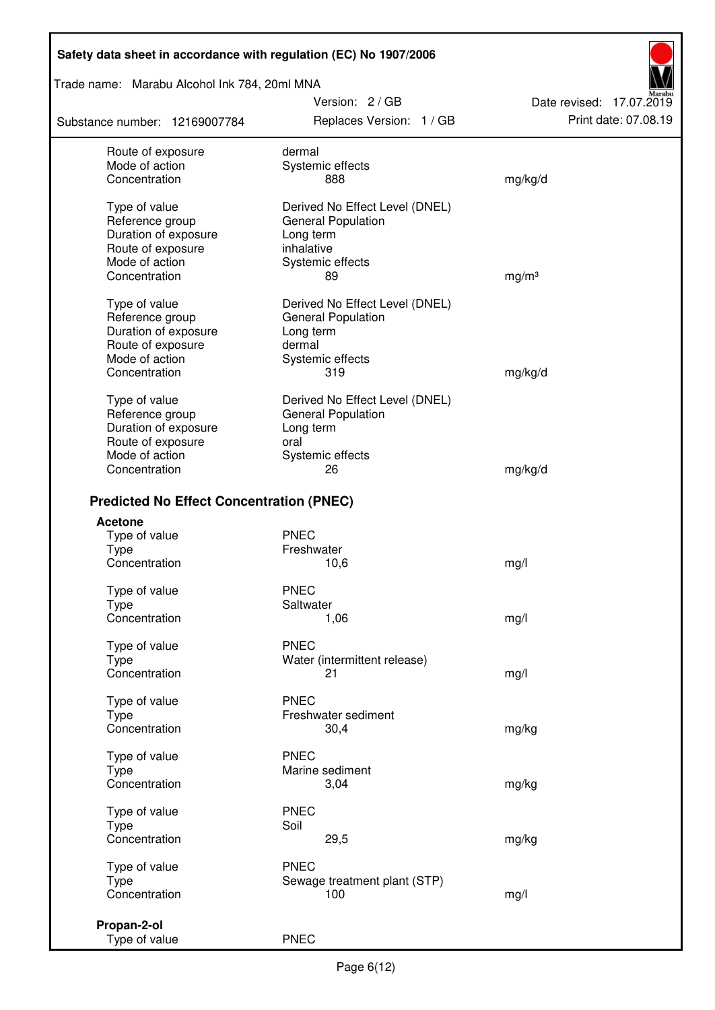Trade name: Marabu Alcohol Ink 784, 20ml MNA

Substance number: 12169007784

Version: 2 / GB Replaces Version: 1 / GB Print date: 07.08.19

Date revised: 17.07.2019

| Route of exposure<br>Mode of action<br>Concentration                          | dermal<br>Systemic effects<br>888                                                | mg/kg/d           |
|-------------------------------------------------------------------------------|----------------------------------------------------------------------------------|-------------------|
| Type of value<br>Reference group<br>Duration of exposure<br>Route of exposure | Derived No Effect Level (DNEL)<br>General Population<br>Long term<br>inhalative  |                   |
| Mode of action<br>Concentration                                               | Systemic effects<br>89                                                           | mg/m <sup>3</sup> |
| Type of value<br>Reference group<br>Duration of exposure                      | Derived No Effect Level (DNEL)<br><b>General Population</b><br>Long term         |                   |
| Route of exposure<br>Mode of action<br>Concentration                          | dermal<br>Systemic effects<br>319                                                | mg/kg/d           |
| Type of value<br>Reference group<br>Duration of exposure<br>Route of exposure | Derived No Effect Level (DNEL)<br><b>General Population</b><br>Long term<br>oral |                   |
| Mode of action<br>Concentration                                               | Systemic effects<br>26                                                           | mg/kg/d           |
| <b>Predicted No Effect Concentration (PNEC)</b>                               |                                                                                  |                   |
| <b>Acetone</b>                                                                |                                                                                  |                   |
| Type of value                                                                 | <b>PNEC</b>                                                                      |                   |
| <b>Type</b>                                                                   | Freshwater                                                                       |                   |
| Concentration                                                                 | 10,6                                                                             | mg/l              |
| Type of value                                                                 | <b>PNEC</b>                                                                      |                   |
| Type                                                                          | Saltwater                                                                        |                   |
| Concentration                                                                 | 1,06                                                                             | mg/l              |
| Type of value                                                                 | <b>PNEC</b>                                                                      |                   |
| <b>Type</b>                                                                   | Water (intermittent release)                                                     |                   |
| Concentration                                                                 | 21                                                                               | mg/l              |
| Type of value                                                                 | <b>PNEC</b>                                                                      |                   |
| <b>Type</b>                                                                   | Freshwater sediment                                                              |                   |
| Concentration                                                                 | 30,4                                                                             | mg/kg             |
| Type of value                                                                 | <b>PNEC</b>                                                                      |                   |
| Type                                                                          | Marine sediment                                                                  |                   |
| Concentration                                                                 | 3,04                                                                             | mg/kg             |
| Type of value                                                                 | <b>PNEC</b>                                                                      |                   |
| <b>Type</b>                                                                   | Soil                                                                             |                   |
| Concentration                                                                 | 29,5                                                                             | mg/kg             |
| Type of value                                                                 | <b>PNEC</b>                                                                      |                   |
| <b>Type</b>                                                                   | Sewage treatment plant (STP)                                                     |                   |
| Concentration                                                                 | 100                                                                              | mg/l              |
|                                                                               |                                                                                  |                   |
| Propan-2-ol                                                                   |                                                                                  |                   |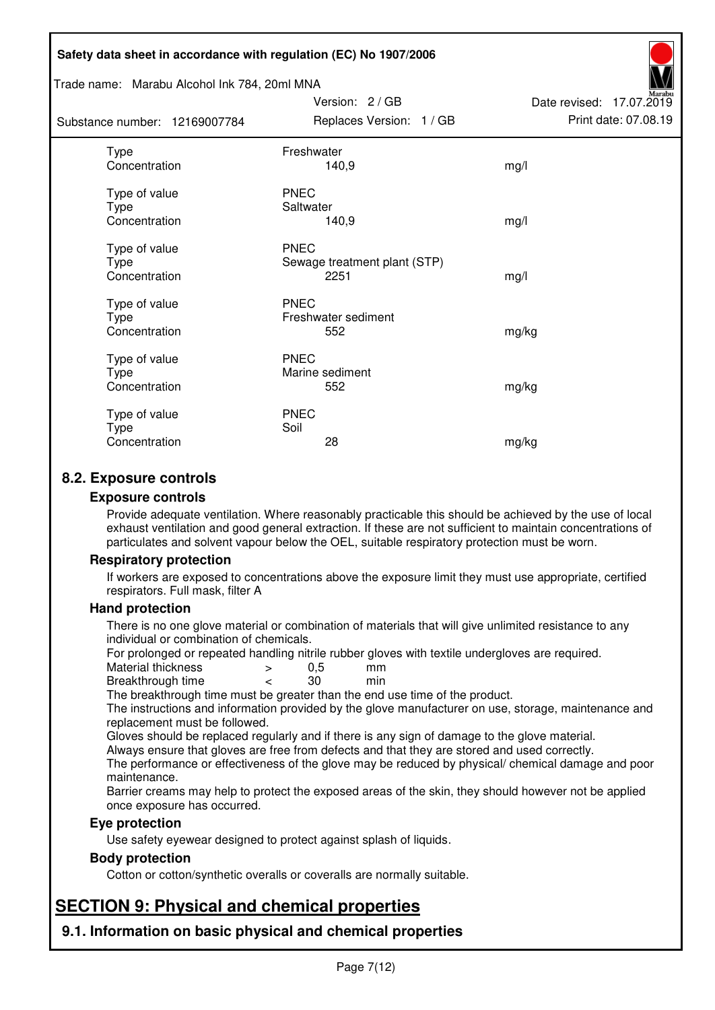#### Trade name: Marabu Alcohol Ink 784, 20ml MNA

Subst

| ance number: 12169007784                      | Replaces Version: 1 / GB                            | Print date: 07.08.19 |
|-----------------------------------------------|-----------------------------------------------------|----------------------|
| <b>Type</b><br>Concentration                  | Freshwater<br>140,9                                 | mg/l                 |
| Type of value<br>Type<br>Concentration        | <b>PNEC</b><br>Saltwater<br>140,9                   | mg/l                 |
| Type of value<br>Type<br>Concentration        | <b>PNEC</b><br>Sewage treatment plant (STP)<br>2251 | mg/l                 |
| Type of value<br><b>Type</b><br>Concentration | <b>PNEC</b><br>Freshwater sediment<br>552           | mg/kg                |
| Type of value<br>Type<br>Concentration        | <b>PNEC</b><br>Marine sediment<br>552               | mg/kg                |
| Type of value<br>Type<br>Concentration        | <b>PNEC</b><br>Soil<br>28                           | mg/kg                |

Version: 2 / GB

Date revised: 17.07.2019

# **8.2. Exposure controls**

#### **Exposure controls**

Provide adequate ventilation. Where reasonably practicable this should be achieved by the use of local exhaust ventilation and good general extraction. If these are not sufficient to maintain concentrations of particulates and solvent vapour below the OEL, suitable respiratory protection must be worn.

## **Respiratory protection**

If workers are exposed to concentrations above the exposure limit they must use appropriate, certified respirators. Full mask, filter A

#### **Hand protection**

There is no one glove material or combination of materials that will give unlimited resistance to any individual or combination of chemicals.

For prolonged or repeated handling nitrile rubber gloves with textile undergloves are required.<br>Material thickness  $\geq 0.5$  mm

- Material thickness  $\begin{array}{ccc} 0.5 \\ -8.5 \end{array}$  Material thickness  $\begin{array}{ccc} 0.5 \\ -8.5 \end{array}$
- Breakthrough time < 30 min

The breakthrough time must be greater than the end use time of the product.

The instructions and information provided by the glove manufacturer on use, storage, maintenance and replacement must be followed.

Gloves should be replaced regularly and if there is any sign of damage to the glove material.

Always ensure that gloves are free from defects and that they are stored and used correctly.

The performance or effectiveness of the glove may be reduced by physical/ chemical damage and poor maintenance.

Barrier creams may help to protect the exposed areas of the skin, they should however not be applied once exposure has occurred.

## **Eye protection**

Use safety eyewear designed to protect against splash of liquids.

## **Body protection**

Cotton or cotton/synthetic overalls or coveralls are normally suitable.

# **SECTION 9: Physical and chemical properties**

**9.1. Information on basic physical and chemical properties**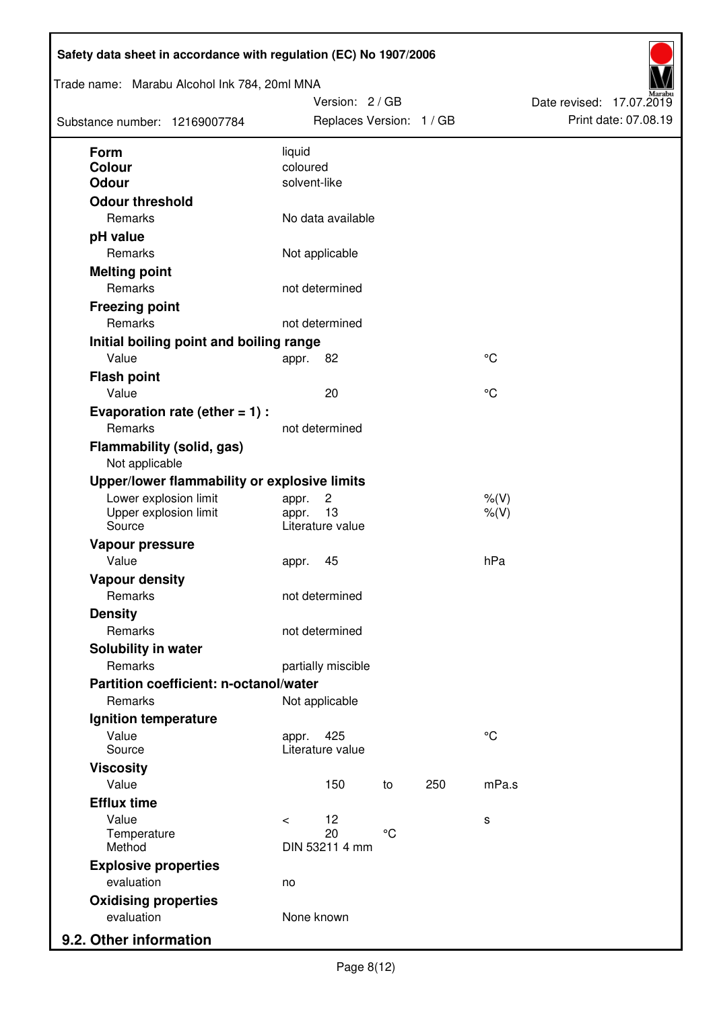| Trade name: Marabu Alcohol Ink 784, 20ml MNA<br>Substance number: 12169007784 |              | Version: 2 / GB<br>Replaces Version: 1 / GB |              |     |             | Date revised: 17.07.2019 | Print date: 07.08.19 |
|-------------------------------------------------------------------------------|--------------|---------------------------------------------|--------------|-----|-------------|--------------------------|----------------------|
| <b>Form</b>                                                                   | liquid       |                                             |              |     |             |                          |                      |
| <b>Colour</b>                                                                 | coloured     |                                             |              |     |             |                          |                      |
| <b>Odour</b>                                                                  | solvent-like |                                             |              |     |             |                          |                      |
| <b>Odour threshold</b>                                                        |              |                                             |              |     |             |                          |                      |
| Remarks                                                                       |              | No data available                           |              |     |             |                          |                      |
| pH value                                                                      |              |                                             |              |     |             |                          |                      |
| Remarks                                                                       |              | Not applicable                              |              |     |             |                          |                      |
| <b>Melting point</b>                                                          |              |                                             |              |     |             |                          |                      |
| Remarks                                                                       |              | not determined                              |              |     |             |                          |                      |
| <b>Freezing point</b>                                                         |              |                                             |              |     |             |                          |                      |
| Remarks                                                                       |              | not determined                              |              |     |             |                          |                      |
| Initial boiling point and boiling range                                       |              |                                             |              |     |             |                          |                      |
| Value                                                                         | appr.        | 82                                          |              |     | °C          |                          |                      |
| <b>Flash point</b>                                                            |              |                                             |              |     |             |                          |                      |
| Value                                                                         |              | 20                                          |              |     | °C          |                          |                      |
| Evaporation rate (ether $= 1$ ) :                                             |              |                                             |              |     |             |                          |                      |
| Remarks                                                                       |              | not determined                              |              |     |             |                          |                      |
| <b>Flammability (solid, gas)</b><br>Not applicable                            |              |                                             |              |     |             |                          |                      |
| Upper/lower flammability or explosive limits                                  |              |                                             |              |     |             |                          |                      |
| Lower explosion limit                                                         | appr.        | $\overline{c}$                              |              |     | $%$ (V)     |                          |                      |
| Upper explosion limit<br>Source                                               | appr.        | 13<br>Literature value                      |              |     | $%$ (V)     |                          |                      |
| Vapour pressure                                                               |              |                                             |              |     |             |                          |                      |
| Value                                                                         | appr.        | 45                                          |              |     | hPa         |                          |                      |
| <b>Vapour density</b>                                                         |              |                                             |              |     |             |                          |                      |
| Remarks                                                                       |              | not determined                              |              |     |             |                          |                      |
| <b>Density</b>                                                                |              |                                             |              |     |             |                          |                      |
| Remarks                                                                       |              | not determined                              |              |     |             |                          |                      |
| Solubility in water                                                           |              |                                             |              |     |             |                          |                      |
| Remarks                                                                       |              | partially miscible                          |              |     |             |                          |                      |
| Partition coefficient: n-octanol/water                                        |              |                                             |              |     |             |                          |                      |
| Remarks                                                                       |              | Not applicable                              |              |     |             |                          |                      |
| Ignition temperature                                                          |              |                                             |              |     |             |                          |                      |
| Value<br>Source                                                               | appr.        | 425<br>Literature value                     |              |     | $^{\circ}C$ |                          |                      |
| <b>Viscosity</b>                                                              |              |                                             |              |     |             |                          |                      |
| Value                                                                         |              | 150                                         | to           | 250 | mPa.s       |                          |                      |
| <b>Efflux time</b>                                                            |              |                                             |              |     |             |                          |                      |
| Value                                                                         | $\prec$      | 12                                          |              |     | s           |                          |                      |
| Temperature                                                                   |              | 20                                          | $^{\circ}$ C |     |             |                          |                      |
| Method                                                                        |              | DIN 53211 4 mm                              |              |     |             |                          |                      |
| <b>Explosive properties</b>                                                   |              |                                             |              |     |             |                          |                      |
| evaluation                                                                    | no           |                                             |              |     |             |                          |                      |
| <b>Oxidising properties</b><br>evaluation                                     | None known   |                                             |              |     |             |                          |                      |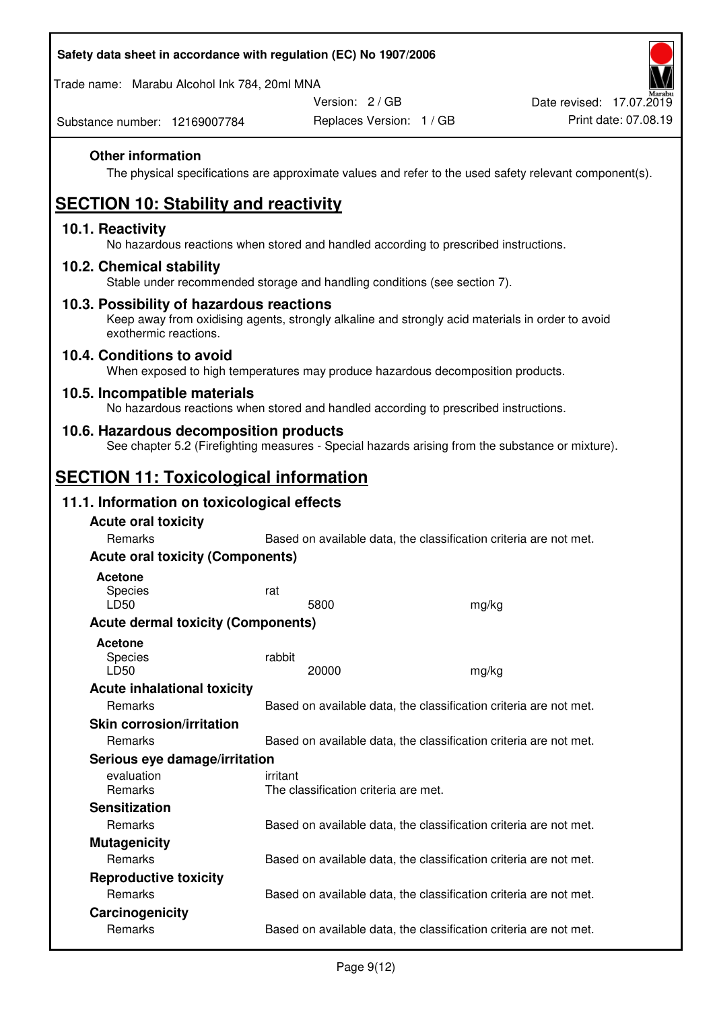Trade name: Marabu Alcohol Ink 784, 20ml MNA

Version: 2 / GB

Replaces Version: 1 / GB Print date: 07.08.19 Date revised: 17.07.2019

Substance number: 12169007784

## **Other information**

The physical specifications are approximate values and refer to the used safety relevant component(s).

# **SECTION 10: Stability and reactivity**

## **10.1. Reactivity**

No hazardous reactions when stored and handled according to prescribed instructions.

## **10.2. Chemical stability**

Stable under recommended storage and handling conditions (see section 7).

## **10.3. Possibility of hazardous reactions**

Keep away from oxidising agents, strongly alkaline and strongly acid materials in order to avoid exothermic reactions.

## **10.4. Conditions to avoid**

When exposed to high temperatures may produce hazardous decomposition products.

## **10.5. Incompatible materials**

No hazardous reactions when stored and handled according to prescribed instructions.

## **10.6. Hazardous decomposition products**

See chapter 5.2 (Firefighting measures - Special hazards arising from the substance or mixture).

# **SECTION 11: Toxicological information**

# **11.1. Information on toxicological effects**

| <b>Acute oral toxicity</b>                |          |                                                                   |  |                                                                   |  |  |
|-------------------------------------------|----------|-------------------------------------------------------------------|--|-------------------------------------------------------------------|--|--|
| Remarks                                   |          | Based on available data, the classification criteria are not met. |  |                                                                   |  |  |
| <b>Acute oral toxicity (Components)</b>   |          |                                                                   |  |                                                                   |  |  |
| <b>Acetone</b><br><b>Species</b><br>LD50  | rat      | 5800                                                              |  | mg/kg                                                             |  |  |
| <b>Acute dermal toxicity (Components)</b> |          |                                                                   |  |                                                                   |  |  |
| Acetone<br>Species<br>LD50                | rabbit   | 20000                                                             |  | mg/kg                                                             |  |  |
| <b>Acute inhalational toxicity</b>        |          |                                                                   |  |                                                                   |  |  |
| Remarks                                   |          |                                                                   |  | Based on available data, the classification criteria are not met. |  |  |
| <b>Skin corrosion/irritation</b>          |          |                                                                   |  |                                                                   |  |  |
| Remarks                                   |          |                                                                   |  | Based on available data, the classification criteria are not met. |  |  |
| Serious eye damage/irritation             |          |                                                                   |  |                                                                   |  |  |
| evaluation<br><b>Remarks</b>              | irritant | The classification criteria are met.                              |  |                                                                   |  |  |
| <b>Sensitization</b>                      |          |                                                                   |  |                                                                   |  |  |
| <b>Remarks</b>                            |          |                                                                   |  | Based on available data, the classification criteria are not met. |  |  |
| <b>Mutagenicity</b>                       |          |                                                                   |  |                                                                   |  |  |
| Remarks                                   |          |                                                                   |  | Based on available data, the classification criteria are not met. |  |  |
| <b>Reproductive toxicity</b>              |          |                                                                   |  |                                                                   |  |  |
| <b>Remarks</b>                            |          |                                                                   |  | Based on available data, the classification criteria are not met. |  |  |
| Carcinogenicity                           |          |                                                                   |  |                                                                   |  |  |
| Remarks                                   |          |                                                                   |  | Based on available data, the classification criteria are not met. |  |  |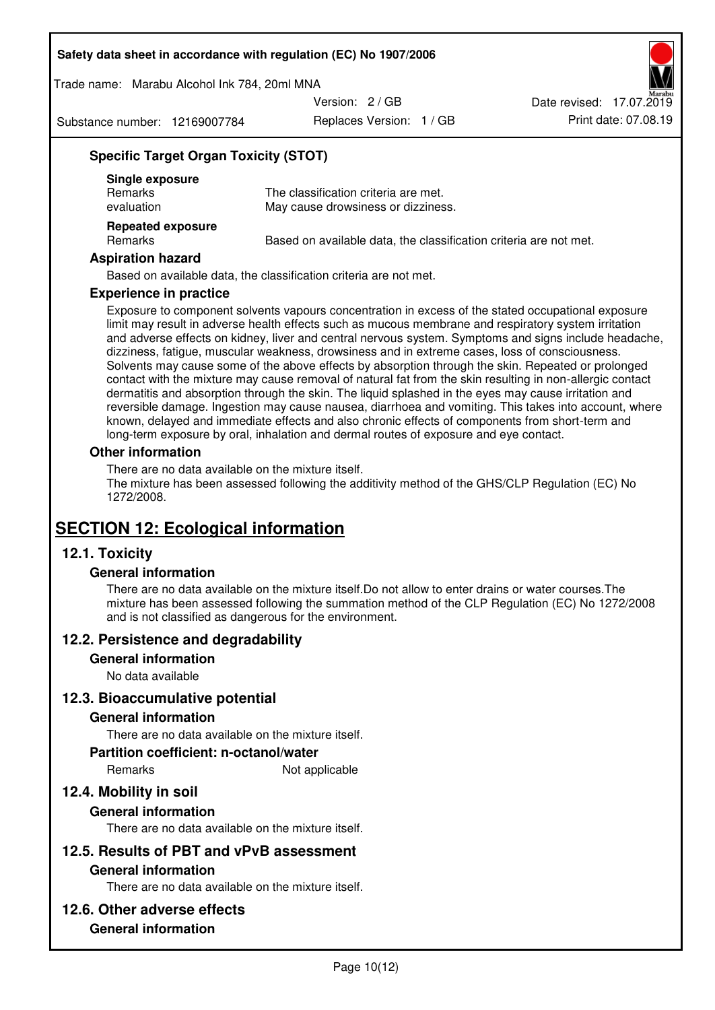Trade name: Marabu Alcohol Ink 784, 20ml MNA

Version: 2 / GB

Substance number: 12169007784

Replaces Version: 1 / GB Print date: 07.08.19 Date revised: 17.07.2019

# **Specific Target Organ Toxicity (STOT)**

| Single exposure<br><b>Remarks</b><br>evaluation | The classification criteria are met.<br>May cause drowsiness or dizziness. |
|-------------------------------------------------|----------------------------------------------------------------------------|
| <b>Repeated exposure</b><br>Remarks             | Based on available data, the classification criteria are not met.          |

#### **Aspiration hazard**

Based on available data, the classification criteria are not met.

#### **Experience in practice**

Exposure to component solvents vapours concentration in excess of the stated occupational exposure limit may result in adverse health effects such as mucous membrane and respiratory system irritation and adverse effects on kidney, liver and central nervous system. Symptoms and signs include headache, dizziness, fatigue, muscular weakness, drowsiness and in extreme cases, loss of consciousness. Solvents may cause some of the above effects by absorption through the skin. Repeated or prolonged contact with the mixture may cause removal of natural fat from the skin resulting in non-allergic contact dermatitis and absorption through the skin. The liquid splashed in the eyes may cause irritation and reversible damage. Ingestion may cause nausea, diarrhoea and vomiting. This takes into account, where known, delayed and immediate effects and also chronic effects of components from short-term and long-term exposure by oral, inhalation and dermal routes of exposure and eye contact.

#### **Other information**

There are no data available on the mixture itself. The mixture has been assessed following the additivity method of the GHS/CLP Regulation (EC) No 1272/2008.

# **SECTION 12: Ecological information**

## **12.1. Toxicity**

## **General information**

There are no data available on the mixture itself.Do not allow to enter drains or water courses.The mixture has been assessed following the summation method of the CLP Regulation (EC) No 1272/2008 and is not classified as dangerous for the environment.

## **12.2. Persistence and degradability**

#### **General information**

No data available

## **12.3. Bioaccumulative potential**

## **General information**

There are no data available on the mixture itself.

#### **Partition coefficient: n-octanol/water**

Remarks Not applicable

# **12.4. Mobility in soil**

## **General information**

There are no data available on the mixture itself.

## **12.5. Results of PBT and vPvB assessment**

#### **General information**

There are no data available on the mixture itself.

## **12.6. Other adverse effects**

## **General information**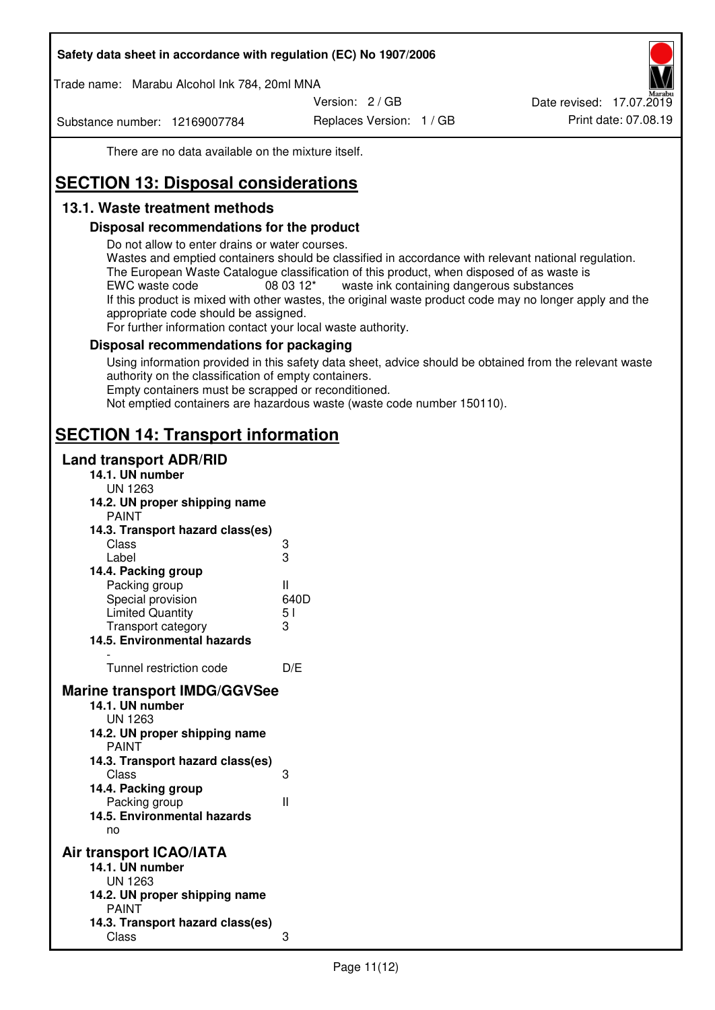Trade name: Marabu Alcohol Ink 784, 20ml MNA

Version: 2 / GB

Substance number: 12169007784

Replaces Version: 1 / GB Print date: 07.08.19 Date revised: 17.07.2019

There are no data available on the mixture itself.

# **SECTION 13: Disposal considerations**

# **13.1. Waste treatment methods**

## **Disposal recommendations for the product**

Do not allow to enter drains or water courses.

Wastes and emptied containers should be classified in accordance with relevant national regulation. The European Waste Catalogue classification of this product, when disposed of as waste is EWC waste code  $08\,03\,12^*$  waste ink containing dangerous substances If this product is mixed with other wastes, the original waste product code may no longer apply and the appropriate code should be assigned.

For further information contact your local waste authority.

## **Disposal recommendations for packaging**

Using information provided in this safety data sheet, advice should be obtained from the relevant waste authority on the classification of empty containers. Empty containers must be scrapped or reconditioned.

Not emptied containers are hazardous waste (waste code number 150110).

# **SECTION 14: Transport information**

## **Land transport ADR/RID**

| 14.1. UN number                                                                                                                                                                                                                              |              |
|----------------------------------------------------------------------------------------------------------------------------------------------------------------------------------------------------------------------------------------------|--------------|
| UN 1263<br>14.2. UN proper shipping name                                                                                                                                                                                                     |              |
| <b>PAINT</b>                                                                                                                                                                                                                                 |              |
| 14.3. Transport hazard class(es)                                                                                                                                                                                                             |              |
| Class                                                                                                                                                                                                                                        | 3<br>3       |
| Label                                                                                                                                                                                                                                        |              |
| 14.4. Packing group                                                                                                                                                                                                                          |              |
| Packing group                                                                                                                                                                                                                                | $\mathbf{I}$ |
| Special provision                                                                                                                                                                                                                            | 640D         |
| <b>Limited Quantity</b>                                                                                                                                                                                                                      | 51           |
| Transport category                                                                                                                                                                                                                           | 3            |
| 14.5. Environmental hazards                                                                                                                                                                                                                  |              |
| Tunnel restriction code                                                                                                                                                                                                                      | D/E          |
| <b>Marine transport IMDG/GGVSee</b><br>14.1. UN number<br>UN 1263<br>14.2. UN proper shipping name<br><b>PAINT</b><br>14.3. Transport hazard class(es)<br>Class<br>14.4. Packing group<br>Packing group<br>14.5. Environmental hazards<br>no | 3<br>Ш       |
| Air transport ICAO/IATA<br>14.1. UN number                                                                                                                                                                                                   |              |
| <b>UN 1263</b>                                                                                                                                                                                                                               |              |
| 14.2. UN proper shipping name                                                                                                                                                                                                                |              |
| <b>PAINT</b>                                                                                                                                                                                                                                 |              |
| 14.3. Transport hazard class(es)<br>Class                                                                                                                                                                                                    | 3            |